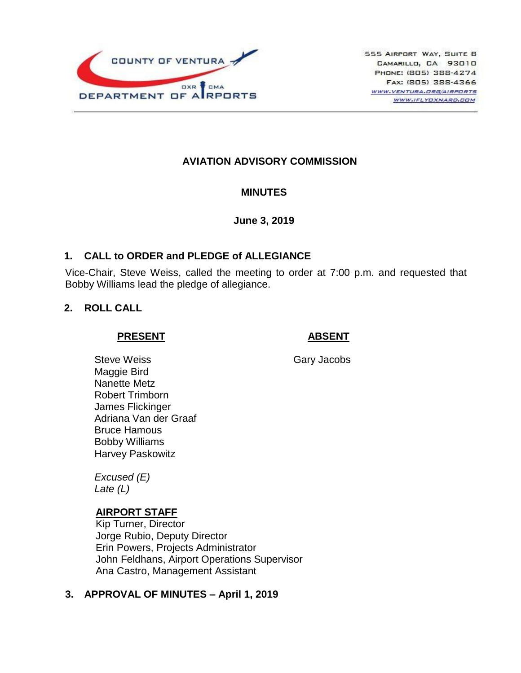

# **AVIATION ADVISORY COMMISSION**

### **MINUTES**

#### **June 3, 2019**

### **1. CALL to ORDER and PLEDGE of ALLEGIANCE**

Vice-Chair, Steve Weiss, called the meeting to order at 7:00 p.m. and requested that Bobby Williams lead the pledge of allegiance.

### **2. ROLL CALL**

#### **PRESENT**

### **ABSENT**

Gary Jacobs

Steve Weiss Maggie Bird Nanette Metz Robert Trimborn James Flickinger Adriana Van der Graaf Bruce Hamous Bobby Williams Harvey Paskowitz

*Excused (E) Late (L)*

# **AIRPORT STAFF**

Kip Turner, Director Jorge Rubio, Deputy Director Erin Powers, Projects Administrator John Feldhans, Airport Operations Supervisor Ana Castro, Management Assistant

### **3. APPROVAL OF MINUTES – April 1, 2019**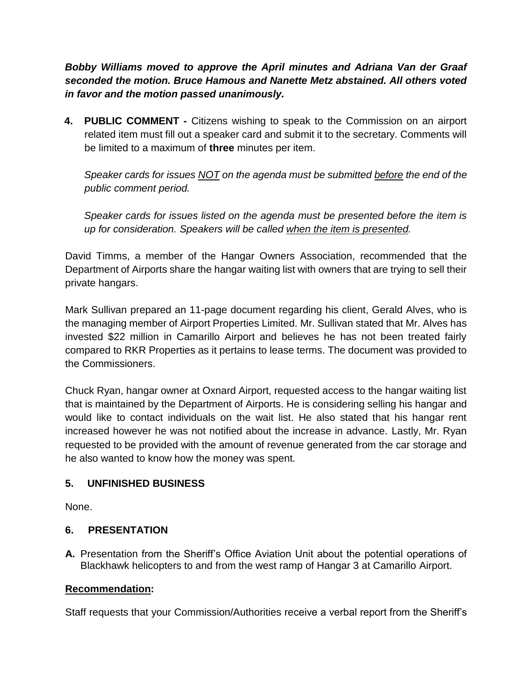*Bobby Williams moved to approve the April minutes and Adriana Van der Graaf seconded the motion. Bruce Hamous and Nanette Metz abstained. All others voted in favor and the motion passed unanimously.*

**4. PUBLIC COMMENT -** Citizens wishing to speak to the Commission on an airport related item must fill out a speaker card and submit it to the secretary. Comments will be limited to a maximum of **three** minutes per item.

*Speaker cards for issues NOT on the agenda must be submitted before the end of the public comment period.* 

*Speaker cards for issues listed on the agenda must be presented before the item is up for consideration. Speakers will be called when the item is presented.*

David Timms, a member of the Hangar Owners Association, recommended that the Department of Airports share the hangar waiting list with owners that are trying to sell their private hangars.

Mark Sullivan prepared an 11-page document regarding his client, Gerald Alves, who is the managing member of Airport Properties Limited. Mr. Sullivan stated that Mr. Alves has invested \$22 million in Camarillo Airport and believes he has not been treated fairly compared to RKR Properties as it pertains to lease terms. The document was provided to the Commissioners.

Chuck Ryan, hangar owner at Oxnard Airport, requested access to the hangar waiting list that is maintained by the Department of Airports. He is considering selling his hangar and would like to contact individuals on the wait list. He also stated that his hangar rent increased however he was not notified about the increase in advance. Lastly, Mr. Ryan requested to be provided with the amount of revenue generated from the car storage and he also wanted to know how the money was spent.

# **5. UNFINISHED BUSINESS**

None.

# **6. PRESENTATION**

**A.** Presentation from the Sheriff's Office Aviation Unit about the potential operations of Blackhawk helicopters to and from the west ramp of Hangar 3 at Camarillo Airport.

# **Recommendation:**

Staff requests that your Commission/Authorities receive a verbal report from the Sheriff's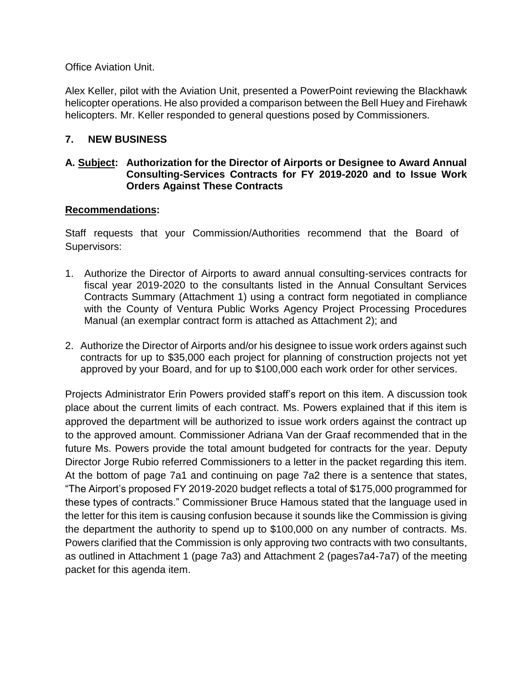Office Aviation Unit.

Alex Keller, pilot with the Aviation Unit, presented a PowerPoint reviewing the Blackhawk helicopter operations. He also provided a comparison between the Bell Huey and Firehawk helicopters. Mr. Keller responded to general questions posed by Commissioners.

# **7. NEW BUSINESS**

### **A. Subject: Authorization for the Director of Airports or Designee to Award Annual Consulting-Services Contracts for FY 2019-2020 and to Issue Work Orders Against These Contracts**

### **Recommendations:**

Staff requests that your Commission/Authorities recommend that the Board of Supervisors:

- 1. Authorize the Director of Airports to award annual consulting-services contracts for fiscal year 2019-2020 to the consultants listed in the Annual Consultant Services Contracts Summary (Attachment 1) using a contract form negotiated in compliance with the County of Ventura Public Works Agency Project Processing Procedures Manual (an exemplar contract form is attached as Attachment 2); and
- 2. Authorize the Director of Airports and/or his designee to issue work orders against such contracts for up to \$35,000 each project for planning of construction projects not yet approved by your Board, and for up to \$100,000 each work order for other services.

Projects Administrator Erin Powers provided staff's report on this item. A discussion took place about the current limits of each contract. Ms. Powers explained that if this item is approved the department will be authorized to issue work orders against the contract up to the approved amount. Commissioner Adriana Van der Graaf recommended that in the future Ms. Powers provide the total amount budgeted for contracts for the year. Deputy Director Jorge Rubio referred Commissioners to a letter in the packet regarding this item. At the bottom of page 7a1 and continuing on page 7a2 there is a sentence that states, "The Airport's proposed FY 2019-2020 budget reflects a total of \$175,000 programmed for these types of contracts." Commissioner Bruce Hamous stated that the language used in the letter for this item is causing confusion because it sounds like the Commission is giving the department the authority to spend up to \$100,000 on any number of contracts. Ms. Powers clarified that the Commission is only approving two contracts with two consultants, as outlined in Attachment 1 (page 7a3) and Attachment 2 (pages7a4-7a7) of the meeting packet for this agenda item.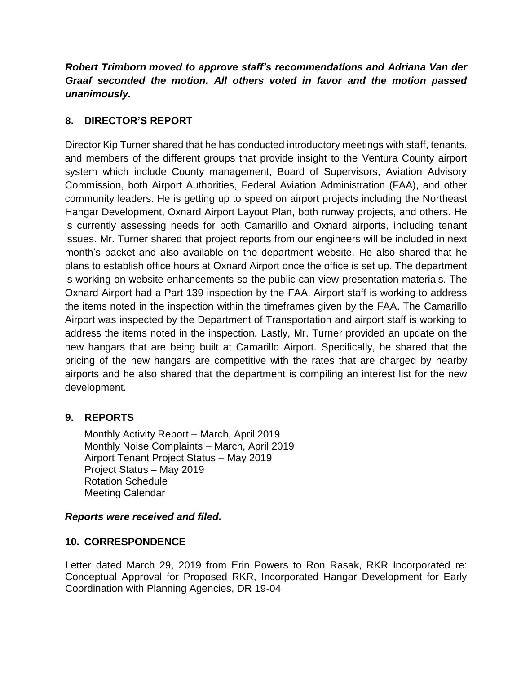*Robert Trimborn moved to approve staff's recommendations and Adriana Van der Graaf seconded the motion. All others voted in favor and the motion passed unanimously.*

# **8. DIRECTOR'S REPORT**

Director Kip Turner shared that he has conducted introductory meetings with staff, tenants, and members of the different groups that provide insight to the Ventura County airport system which include County management, Board of Supervisors, Aviation Advisory Commission, both Airport Authorities, Federal Aviation Administration (FAA), and other community leaders. He is getting up to speed on airport projects including the Northeast Hangar Development, Oxnard Airport Layout Plan, both runway projects, and others. He is currently assessing needs for both Camarillo and Oxnard airports, including tenant issues. Mr. Turner shared that project reports from our engineers will be included in next month's packet and also available on the department website. He also shared that he plans to establish office hours at Oxnard Airport once the office is set up. The department is working on website enhancements so the public can view presentation materials. The Oxnard Airport had a Part 139 inspection by the FAA. Airport staff is working to address the items noted in the inspection within the timeframes given by the FAA. The Camarillo Airport was inspected by the Department of Transportation and airport staff is working to address the items noted in the inspection. Lastly, Mr. Turner provided an update on the new hangars that are being built at Camarillo Airport. Specifically, he shared that the pricing of the new hangars are competitive with the rates that are charged by nearby airports and he also shared that the department is compiling an interest list for the new development.

# **9. REPORTS**

Monthly Activity Report – March, April 2019 Monthly Noise Complaints – March, April 2019 Airport Tenant Project Status – May 2019 Project Status – May 2019 Rotation Schedule Meeting Calendar

### *Reports were received and filed.*

# **10. CORRESPONDENCE**

Letter dated March 29, 2019 from Erin Powers to Ron Rasak, RKR Incorporated re: Conceptual Approval for Proposed RKR, Incorporated Hangar Development for Early Coordination with Planning Agencies, DR 19-04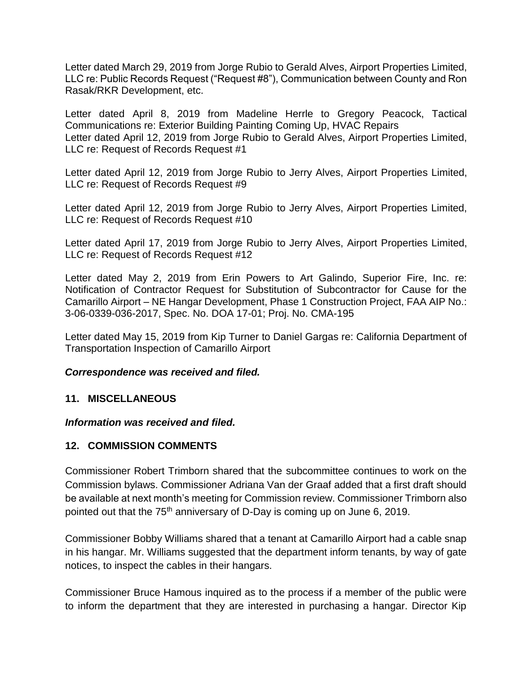Letter dated March 29, 2019 from Jorge Rubio to Gerald Alves, Airport Properties Limited, LLC re: Public Records Request ("Request #8"), Communication between County and Ron Rasak/RKR Development, etc.

Letter dated April 8, 2019 from Madeline Herrle to Gregory Peacock, Tactical Communications re: Exterior Building Painting Coming Up, HVAC Repairs Letter dated April 12, 2019 from Jorge Rubio to Gerald Alves, Airport Properties Limited, LLC re: Request of Records Request #1

Letter dated April 12, 2019 from Jorge Rubio to Jerry Alves, Airport Properties Limited, LLC re: Request of Records Request #9

Letter dated April 12, 2019 from Jorge Rubio to Jerry Alves, Airport Properties Limited, LLC re: Request of Records Request #10

Letter dated April 17, 2019 from Jorge Rubio to Jerry Alves, Airport Properties Limited, LLC re: Request of Records Request #12

Letter dated May 2, 2019 from Erin Powers to Art Galindo, Superior Fire, Inc. re: Notification of Contractor Request for Substitution of Subcontractor for Cause for the Camarillo Airport – NE Hangar Development, Phase 1 Construction Project, FAA AIP No.: 3-06-0339-036-2017, Spec. No. DOA 17-01; Proj. No. CMA-195

Letter dated May 15, 2019 from Kip Turner to Daniel Gargas re: California Department of Transportation Inspection of Camarillo Airport

### *Correspondence was received and filed.*

### **11. MISCELLANEOUS**

### *Information was received and filed.*

### **12. COMMISSION COMMENTS**

Commissioner Robert Trimborn shared that the subcommittee continues to work on the Commission bylaws. Commissioner Adriana Van der Graaf added that a first draft should be available at next month's meeting for Commission review. Commissioner Trimborn also pointed out that the 75<sup>th</sup> anniversary of D-Day is coming up on June 6, 2019.

Commissioner Bobby Williams shared that a tenant at Camarillo Airport had a cable snap in his hangar. Mr. Williams suggested that the department inform tenants, by way of gate notices, to inspect the cables in their hangars.

Commissioner Bruce Hamous inquired as to the process if a member of the public were to inform the department that they are interested in purchasing a hangar. Director Kip